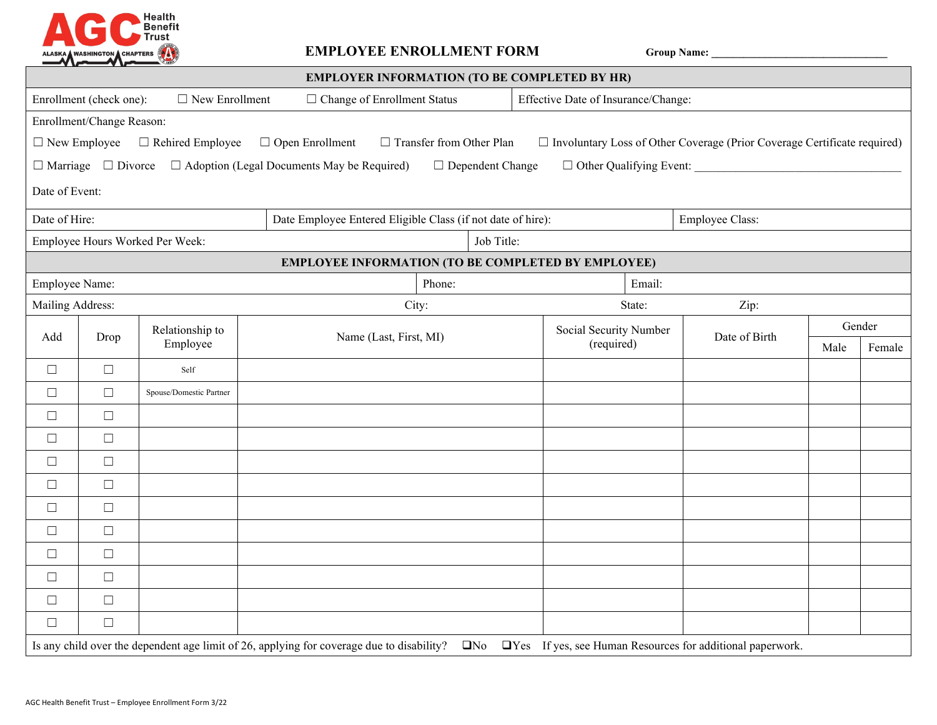

## **EMPLOYEE ENROLLMENT FORM Group Name: \_\_\_\_\_\_\_\_\_\_\_\_\_\_\_\_\_\_\_\_\_\_\_\_\_\_\_\_\_\_\_\_\_**

| <b>EMPLOYER INFORMATION (TO BE COMPLETED BY HR)</b>                                                                                                                                       |        |                             |                                                             |                                     |                 |      |        |  |  |  |  |  |  |
|-------------------------------------------------------------------------------------------------------------------------------------------------------------------------------------------|--------|-----------------------------|-------------------------------------------------------------|-------------------------------------|-----------------|------|--------|--|--|--|--|--|--|
| Enrollment (check one):<br>$\Box$ New Enrollment                                                                                                                                          |        |                             | $\Box$ Change of Enrollment Status                          | Effective Date of Insurance/Change: |                 |      |        |  |  |  |  |  |  |
| Enrollment/Change Reason:                                                                                                                                                                 |        |                             |                                                             |                                     |                 |      |        |  |  |  |  |  |  |
| $\Box$ New Employee<br>$\Box$ Involuntary Loss of Other Coverage (Prior Coverage Certificate required)<br>$\Box$ Rehired Employee<br>$\Box$ Open Enrollment<br>□ Transfer from Other Plan |        |                             |                                                             |                                     |                 |      |        |  |  |  |  |  |  |
| $\Box$ Marriage $\Box$ Divorce<br>$\Box$ Adoption (Legal Documents May be Required)<br>$\Box$ Other Qualifying Event:<br>$\Box$ Dependent Change                                          |        |                             |                                                             |                                     |                 |      |        |  |  |  |  |  |  |
| Date of Event:                                                                                                                                                                            |        |                             |                                                             |                                     |                 |      |        |  |  |  |  |  |  |
| Date of Hire:                                                                                                                                                                             |        |                             | Date Employee Entered Eligible Class (if not date of hire): |                                     | Employee Class: |      |        |  |  |  |  |  |  |
| Employee Hours Worked Per Week:                                                                                                                                                           |        |                             |                                                             | Job Title:                          |                 |      |        |  |  |  |  |  |  |
| <b>EMPLOYEE INFORMATION (TO BE COMPLETED BY EMPLOYEE)</b>                                                                                                                                 |        |                             |                                                             |                                     |                 |      |        |  |  |  |  |  |  |
| Employee Name:                                                                                                                                                                            |        |                             | Phone:                                                      | Email:                              |                 |      |        |  |  |  |  |  |  |
| Mailing Address:                                                                                                                                                                          |        |                             | City:                                                       | State:                              | Zip:            |      |        |  |  |  |  |  |  |
| Add                                                                                                                                                                                       | Drop   | Relationship to<br>Employee | Name (Last, First, MI)                                      | Social Security Number              | Date of Birth   |      | Gender |  |  |  |  |  |  |
|                                                                                                                                                                                           |        |                             |                                                             | (required)                          |                 | Male | Female |  |  |  |  |  |  |
| $\Box$                                                                                                                                                                                    | $\Box$ | Self                        |                                                             |                                     |                 |      |        |  |  |  |  |  |  |
| $\Box$                                                                                                                                                                                    | $\Box$ | Spouse/Domestic Partner     |                                                             |                                     |                 |      |        |  |  |  |  |  |  |
| $\Box$                                                                                                                                                                                    | $\Box$ |                             |                                                             |                                     |                 |      |        |  |  |  |  |  |  |
| $\Box$                                                                                                                                                                                    | $\Box$ |                             |                                                             |                                     |                 |      |        |  |  |  |  |  |  |
| $\Box$                                                                                                                                                                                    | $\Box$ |                             |                                                             |                                     |                 |      |        |  |  |  |  |  |  |
| $\Box$                                                                                                                                                                                    | $\Box$ |                             |                                                             |                                     |                 |      |        |  |  |  |  |  |  |
| $\Box$                                                                                                                                                                                    | $\Box$ |                             |                                                             |                                     |                 |      |        |  |  |  |  |  |  |
| $\Box$                                                                                                                                                                                    | $\Box$ |                             |                                                             |                                     |                 |      |        |  |  |  |  |  |  |
| $\Box$                                                                                                                                                                                    | $\Box$ |                             |                                                             |                                     |                 |      |        |  |  |  |  |  |  |
| $\Box$                                                                                                                                                                                    | $\Box$ |                             |                                                             |                                     |                 |      |        |  |  |  |  |  |  |
| $\Box$                                                                                                                                                                                    | $\Box$ |                             |                                                             |                                     |                 |      |        |  |  |  |  |  |  |
| $\Box$                                                                                                                                                                                    | $\Box$ |                             |                                                             |                                     |                 |      |        |  |  |  |  |  |  |
| Is any child over the dependent age limit of 26, applying for coverage due to disability? $\square$ No<br>□Yes If yes, see Human Resources for additional paperwork.                      |        |                             |                                                             |                                     |                 |      |        |  |  |  |  |  |  |